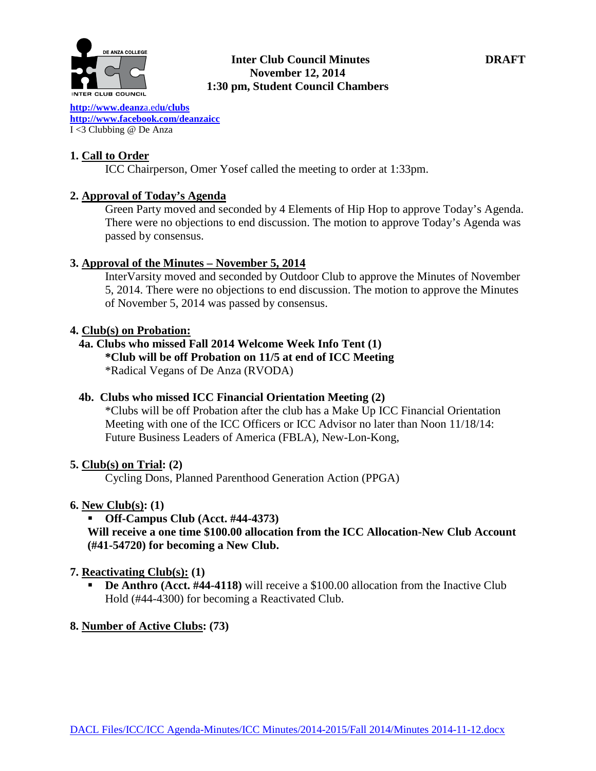

## **Inter Club Council Minutes DRAFT November 12, 2014 1:30 pm, Student Council Chambers**

**[http://www.deanz](http://www.deanza.edu/clubs)**a.ed**u/clubs [http://www.facebook.com/deanzaicc](http://www.facebook.com/home.php%23!/group.php?gid=59034552686)** I <3 Clubbing @ De Anza

## **1. Call to Order**

ICC Chairperson, Omer Yosef called the meeting to order at 1:33pm.

### **2. Approval of Today's Agenda**

Green Party moved and seconded by 4 Elements of Hip Hop to approve Today's Agenda. There were no objections to end discussion. The motion to approve Today's Agenda was passed by consensus.

### **3. Approval of the Minutes – November 5, 2014**

InterVarsity moved and seconded by Outdoor Club to approve the Minutes of November 5, 2014. There were no objections to end discussion. The motion to approve the Minutes of November 5, 2014 was passed by consensus.

#### **4. Club(s) on Probation:**

# **4a. Clubs who missed Fall 2014 Welcome Week Info Tent (1)**

## **\*Club will be off Probation on 11/5 at end of ICC Meeting**

\*Radical Vegans of De Anza (RVODA)

## **4b. Clubs who missed ICC Financial Orientation Meeting (2)**

\*Clubs will be off Probation after the club has a Make Up ICC Financial Orientation Meeting with one of the ICC Officers or ICC Advisor no later than Noon 11/18/14: Future Business Leaders of America (FBLA), New-Lon-Kong,

### **5. Club(s) on Trial: (2)**

Cycling Dons, Planned Parenthood Generation Action (PPGA)

### **6. New Club(s): (1)**

**Off-Campus Club (Acct. #44-4373)**

# **Will receive a one time \$100.00 allocation from the ICC Allocation-New Club Account (#41-54720) for becoming a New Club.**

### **7. Reactivating Club(s): (1)**

 **De Anthro (Acct. #44-4118)** will receive a \$100.00 allocation from the Inactive Club Hold (#44-4300) for becoming a Reactivated Club.

# **8. Number of Active Clubs: (73)**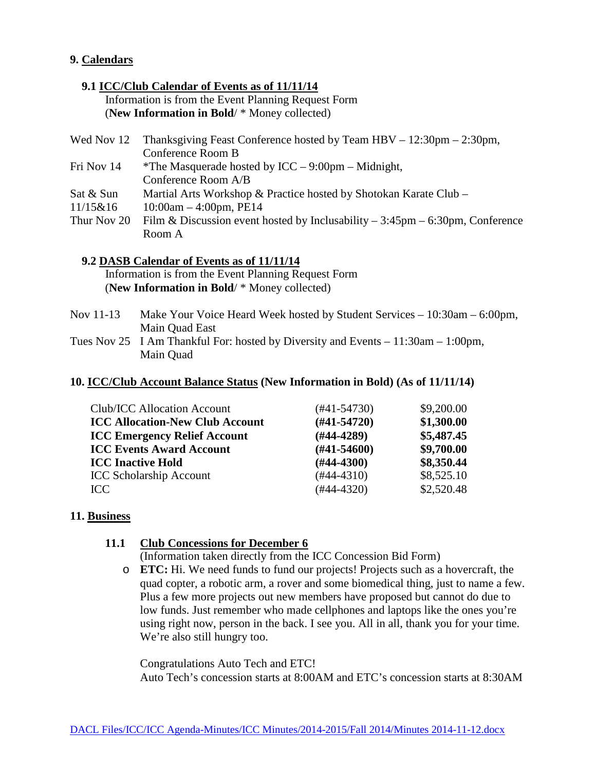## **9. Calendars**

#### **9.1 ICC/Club Calendar of Events as of 11/11/14**

 Information is from the Event Planning Request Form (**New Information in Bold**/ \* Money collected)

| Thanksgiving Feast Conference hosted by Team $HBV - 12:30 \text{pm} - 2:30 \text{pm}$ ,<br>Wed Nov 12 |                                                                                               |  |  |  |
|-------------------------------------------------------------------------------------------------------|-----------------------------------------------------------------------------------------------|--|--|--|
|                                                                                                       | Conference Room B                                                                             |  |  |  |
| Fri Nov 14                                                                                            | *The Masquerade hosted by $ICC - 9:00pm - Midnight$ ,                                         |  |  |  |
|                                                                                                       | Conference Room A/B                                                                           |  |  |  |
| Sat & Sun                                                                                             | Martial Arts Workshop & Practice hosted by Shotokan Karate Club –                             |  |  |  |
| 11/15&16                                                                                              | $10:00am - 4:00pm, PE14$                                                                      |  |  |  |
| Thur Nov 20                                                                                           | Film & Discussion event hosted by Inclusability $-3:45\text{pm} - 6:30\text{pm}$ , Conference |  |  |  |
|                                                                                                       | Room A                                                                                        |  |  |  |

## **9.2 DASB Calendar of Events as of 11/11/14**

 Information is from the Event Planning Request Form (**New Information in Bold**/ \* Money collected)

- Nov 11-13 Make Your Voice Heard Week hosted by Student Services 10:30am 6:00pm, Main Quad East
- Tues Nov 25 I Am Thankful For: hosted by Diversity and Events 11:30am 1:00pm, Main Quad

# **10. ICC/Club Account Balance Status (New Information in Bold) (As of 11/11/14)**

| <b>Club/ICC Allocation Account</b>     | (#41-54730)      | \$9,200.00 |  |
|----------------------------------------|------------------|------------|--|
| <b>ICC Allocation-New Club Account</b> | $(#41-54720)$    | \$1,300.00 |  |
| <b>ICC Emergency Relief Account</b>    | $(H44-4289)$     | \$5,487.45 |  |
| <b>ICC Events Award Account</b>        | $(\#41 - 54600)$ | \$9,700.00 |  |
| <b>ICC Inactive Hold</b>               | $(H44-4300)$     | \$8,350.44 |  |
| <b>ICC Scholarship Account</b>         | $(#44-4310)$     | \$8,525.10 |  |
| ICC                                    | $(\#44 - 4320)$  | \$2,520.48 |  |

#### **11. Business**

### **11.1 Club Concessions for December 6**

(Information taken directly from the ICC Concession Bid Form)

o **ETC:** Hi. We need funds to fund our projects! Projects such as a hovercraft, the quad copter, a robotic arm, a rover and some biomedical thing, just to name a few. Plus a few more projects out new members have proposed but cannot do due to low funds. Just remember who made cellphones and laptops like the ones you're using right now, person in the back. I see you. All in all, thank you for your time. We're also still hungry too.

Congratulations Auto Tech and ETC! Auto Tech's concession starts at 8:00AM and ETC's concession starts at 8:30AM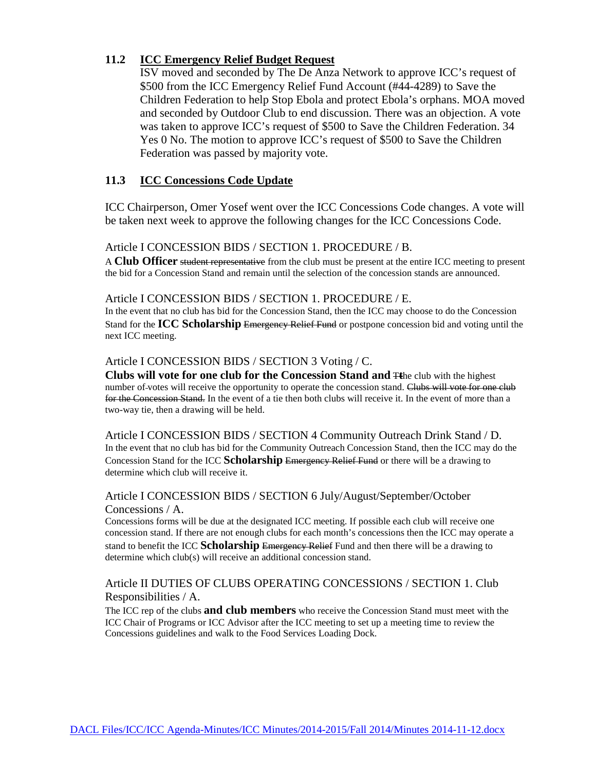## **11.2 ICC Emergency Relief Budget Request**

ISV moved and seconded by The De Anza Network to approve ICC's request of \$500 from the ICC Emergency Relief Fund Account (#44-4289) to Save the Children Federation to help Stop Ebola and protect Ebola's orphans. MOA moved and seconded by Outdoor Club to end discussion. There was an objection. A vote was taken to approve ICC's request of \$500 to Save the Children Federation. 34 Yes 0 No. The motion to approve ICC's request of \$500 to Save the Children Federation was passed by majority vote.

## **11.3 ICC Concessions Code Update**

ICC Chairperson, Omer Yosef went over the ICC Concessions Code changes. A vote will be taken next week to approve the following changes for the ICC Concessions Code.

#### Article I CONCESSION BIDS / SECTION 1. PROCEDURE / B.

A **Club Officer** student representative from the club must be present at the entire ICC meeting to present the bid for a Concession Stand and remain until the selection of the concession stands are announced.

#### Article I CONCESSION BIDS / SECTION 1. PROCEDURE / E.

In the event that no club has bid for the Concession Stand, then the ICC may choose to do the Concession Stand for the **ICC Scholarship** Emergency Relief Fund or postpone concession bid and voting until the next ICC meeting.

#### Article I CONCESSION BIDS / SECTION 3 Voting / C.

**Clubs will vote for one club for the Concession Stand and** T**t**he club with the highest number of-votes will receive the opportunity to operate the concession stand. Clubs will vote for one club for the Concession Stand. In the event of a tie then both clubs will receive it. In the event of more than a two-way tie, then a drawing will be held.

Article I CONCESSION BIDS / SECTION 4 Community Outreach Drink Stand / D. In the event that no club has bid for the Community Outreach Concession Stand, then the ICC may do the Concession Stand for the ICC **Scholarship** Emergency Relief Fund or there will be a drawing to determine which club will receive it.

#### Article I CONCESSION BIDS / SECTION 6 July/August/September/October Concessions / A.

Concessions forms will be due at the designated ICC meeting. If possible each club will receive one concession stand. If there are not enough clubs for each month's concessions then the ICC may operate a stand to benefit the ICC **Scholarship** Emergency Relief Fund and then there will be a drawing to determine which club(s) will receive an additional concession stand.

## Article II DUTIES OF CLUBS OPERATING CONCESSIONS / SECTION 1. Club Responsibilities / A.

The ICC rep of the clubs **and club members** who receive the Concession Stand must meet with the ICC Chair of Programs or ICC Advisor after the ICC meeting to set up a meeting time to review the Concessions guidelines and walk to the Food Services Loading Dock.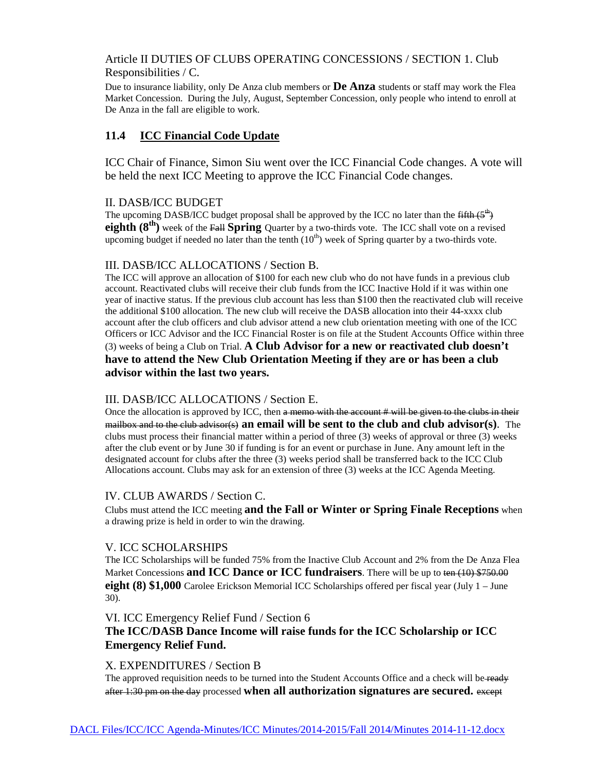# Article II DUTIES OF CLUBS OPERATING CONCESSIONS / SECTION 1. Club Responsibilities / C.

Due to insurance liability, only De Anza club members or **De Anza** students or staff may work the Flea Market Concession. During the July, August, September Concession, only people who intend to enroll at De Anza in the fall are eligible to work.

## **11.4 ICC Financial Code Update**

ICC Chair of Finance, Simon Siu went over the ICC Financial Code changes. A vote will be held the next ICC Meeting to approve the ICC Financial Code changes.

#### II. DASB/ICC BUDGET

The upcoming DASB/ICC budget proposal shall be approved by the ICC no later than the  $\frac{f}{f}$ **eighth (8<sup>th</sup>)** week of the Fall **Spring** Quarter by a two-thirds vote. The ICC shall vote on a revised upcoming budget if needed no later than the tenth  $(10<sup>th</sup>)$  week of Spring quarter by a two-thirds vote.

#### III. DASB/ICC ALLOCATIONS / Section B.

The ICC will approve an allocation of \$100 for each new club who do not have funds in a previous club account. Reactivated clubs will receive their club funds from the ICC Inactive Hold if it was within one year of inactive status. If the previous club account has less than \$100 then the reactivated club will receive the additional \$100 allocation. The new club will receive the DASB allocation into their 44-xxxx club account after the club officers and club advisor attend a new club orientation meeting with one of the ICC Officers or ICC Advisor and the ICC Financial Roster is on file at the Student Accounts Office within three (3) weeks of being a Club on Trial. **A Club Advisor for a new or reactivated club doesn't have to attend the New Club Orientation Meeting if they are or has been a club advisor within the last two years.**

### III. DASB/ICC ALLOCATIONS / Section E.

Once the allocation is approved by ICC, then a memo with the account # will be given to the clubs in their mailbox and to the club advisor(s) **an email will be sent to the club and club advisor(s)**. The clubs must process their financial matter within a period of three (3) weeks of approval or three (3) weeks after the club event or by June 30 if funding is for an event or purchase in June. Any amount left in the designated account for clubs after the three (3) weeks period shall be transferred back to the ICC Club Allocations account. Clubs may ask for an extension of three (3) weeks at the ICC Agenda Meeting.

### IV. CLUB AWARDS / Section C.

Clubs must attend the ICC meeting **and the Fall or Winter or Spring Finale Receptions** when a drawing prize is held in order to win the drawing.

#### V. ICC SCHOLARSHIPS

The ICC Scholarships will be funded 75% from the Inactive Club Account and 2% from the De Anza Flea Market Concessions **and ICC Dance or ICC fundraisers**. There will be up to ten (10) \$750.00 **eight (8) \$1,000** Carolee Erickson Memorial ICC Scholarships offered per fiscal year (July 1 – June 30).

#### VI. ICC Emergency Relief Fund / Section 6

# **The ICC/DASB Dance Income will raise funds for the ICC Scholarship or ICC Emergency Relief Fund.**

#### X. EXPENDITURES / Section B

The approved requisition needs to be turned into the Student Accounts Office and a check will be-ready after 1:30 pm on the day processed **when all authorization signatures are secured.** except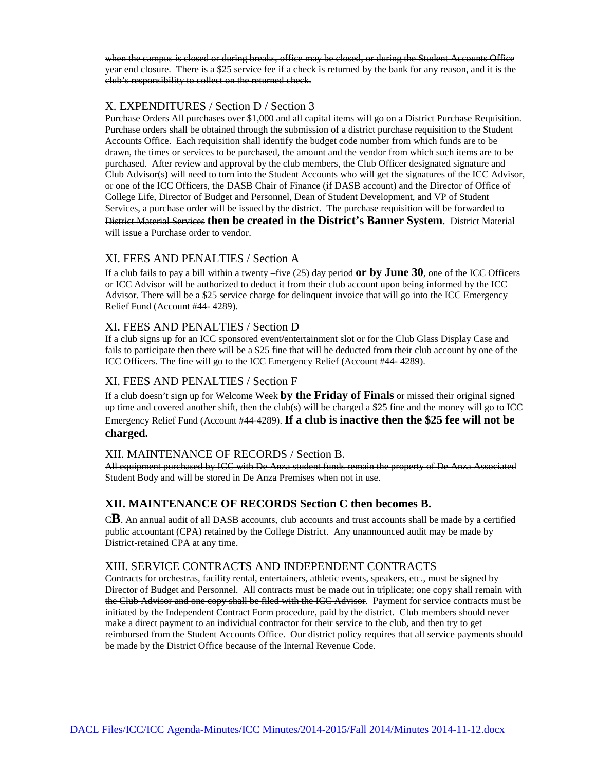when the campus is closed or during breaks, office may be closed, or during the Student Accounts Office year end closure. There is a \$25 service fee if a check is returned by the bank for any reason, and it is the club's responsibility to collect on the returned check.

## X. EXPENDITURES / Section D / Section 3

Purchase Orders All purchases over \$1,000 and all capital items will go on a District Purchase Requisition. Purchase orders shall be obtained through the submission of a district purchase requisition to the Student Accounts Office. Each requisition shall identify the budget code number from which funds are to be drawn, the times or services to be purchased, the amount and the vendor from which such items are to be purchased. After review and approval by the club members, the Club Officer designated signature and Club Advisor(s) will need to turn into the Student Accounts who will get the signatures of the ICC Advisor, or one of the ICC Officers, the DASB Chair of Finance (if DASB account) and the Director of Office of College Life, Director of Budget and Personnel, Dean of Student Development, and VP of Student Services, a purchase order will be issued by the district. The purchase requisition will be forwarded to District Material Services **then be created in the District's Banner System**. District Material will issue a Purchase order to vendor.

### XI. FEES AND PENALTIES / Section A

If a club fails to pay a bill within a twenty –five (25) day period **or by June 30**, one of the ICC Officers or ICC Advisor will be authorized to deduct it from their club account upon being informed by the ICC Advisor. There will be a \$25 service charge for delinquent invoice that will go into the ICC Emergency Relief Fund (Account #44- 4289).

#### XI. FEES AND PENALTIES / Section D

If a club signs up for an ICC sponsored event**/**entertainment slot or for the Club Glass Display Case and fails to participate then there will be a \$25 fine that will be deducted from their club account by one of the ICC Officers. The fine will go to the ICC Emergency Relief (Account #44- 4289).

#### XI. FEES AND PENALTIES / Section F

If a club doesn't sign up for Welcome Week **by the Friday of Finals** or missed their original signed up time and covered another shift, then the club(s) will be charged a \$25 fine and the money will go to ICC Emergency Relief Fund (Account #44-4289). **If a club is inactive then the \$25 fee will not be charged.**

#### XII. MAINTENANCE OF RECORDS / Section B.

All equipment purchased by ICC with De Anza student funds remain the property of De Anza Associated Student Body and will be stored in De Anza Premises when not in use.

# **XII. MAINTENANCE OF RECORDS Section C then becomes B.**

C**B**. An annual audit of all DASB accounts, club accounts and trust accounts shall be made by a certified public accountant (CPA) retained by the College District. Any unannounced audit may be made by District-retained CPA at any time.

#### XIII. SERVICE CONTRACTS AND INDEPENDENT CONTRACTS

Contracts for orchestras, facility rental, entertainers, athletic events, speakers, etc., must be signed by Director of Budget and Personnel. All contracts must be made out in triplicate; one copy shall remain with the Club Advisor and one copy shall be filed with the ICC Advisor. Payment for service contracts must be initiated by the Independent Contract Form procedure, paid by the district. Club members should never make a direct payment to an individual contractor for their service to the club, and then try to get reimbursed from the Student Accounts Office. Our district policy requires that all service payments should be made by the District Office because of the Internal Revenue Code.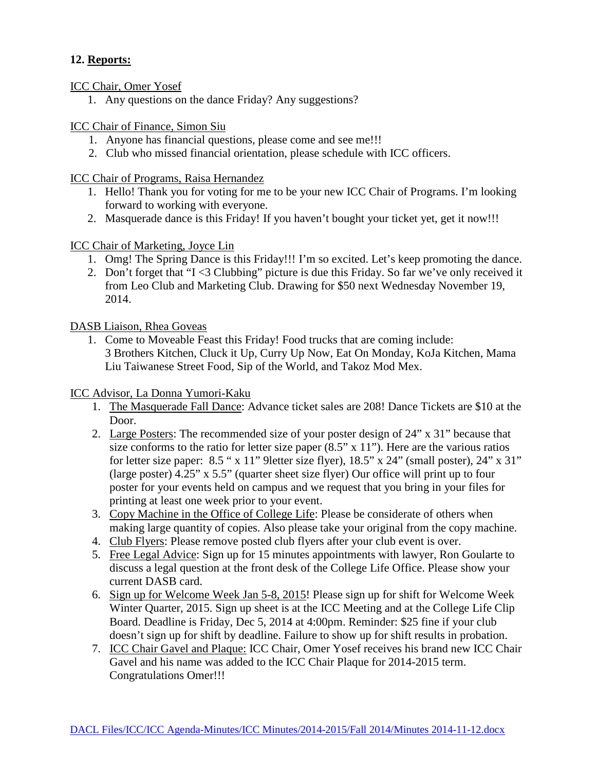# **12. Reports:**

ICC Chair, Omer Yosef

1. Any questions on the dance Friday? Any suggestions?

## ICC Chair of Finance, Simon Siu

- 1. Anyone has financial questions, please come and see me!!!
- 2. Club who missed financial orientation, please schedule with ICC officers.

ICC Chair of Programs, Raisa Hernandez

- 1. Hello! Thank you for voting for me to be your new ICC Chair of Programs. I'm looking forward to working with everyone.
- 2. Masquerade dance is this Friday! If you haven't bought your ticket yet, get it now!!!

## ICC Chair of Marketing, Joyce Lin

- 1. Omg! The Spring Dance is this Friday!!! I'm so excited. Let's keep promoting the dance.
- 2. Don't forget that "I <3 Clubbing" picture is due this Friday. So far we've only received it from Leo Club and Marketing Club. Drawing for \$50 next Wednesday November 19, 2014.

## DASB Liaison, Rhea Goveas

1. Come to Moveable Feast this Friday! Food trucks that are coming include: 3 Brothers Kitchen, Cluck it Up, Curry Up Now, Eat On Monday, KoJa Kitchen, Mama Liu Taiwanese Street Food, Sip of the World, and Takoz Mod Mex.

# ICC Advisor, La Donna Yumori-Kaku

- 1. The Masquerade Fall Dance: Advance ticket sales are 208! Dance Tickets are \$10 at the Door.
- 2. Large Posters: The recommended size of your poster design of 24" x 31" because that size conforms to the ratio for letter size paper  $(8.5" \times 11")$ . Here are the various ratios for letter size paper: 8.5 " x 11" 9letter size flyer), 18.5" x 24" (small poster), 24" x 31" (large poster) 4.25" x 5.5" (quarter sheet size flyer) Our office will print up to four poster for your events held on campus and we request that you bring in your files for printing at least one week prior to your event.
- 3. Copy Machine in the Office of College Life: Please be considerate of others when making large quantity of copies. Also please take your original from the copy machine.
- 4. Club Flyers: Please remove posted club flyers after your club event is over.
- 5. Free Legal Advice: Sign up for 15 minutes appointments with lawyer, Ron Goularte to discuss a legal question at the front desk of the College Life Office. Please show your current DASB card.
- 6. Sign up for Welcome Week Jan 5-8, 2015! Please sign up for shift for Welcome Week Winter Quarter, 2015. Sign up sheet is at the ICC Meeting and at the College Life Clip Board. Deadline is Friday, Dec 5, 2014 at 4:00pm. Reminder: \$25 fine if your club doesn't sign up for shift by deadline. Failure to show up for shift results in probation.
- 7. ICC Chair Gavel and Plaque: ICC Chair, Omer Yosef receives his brand new ICC Chair Gavel and his name was added to the ICC Chair Plaque for 2014-2015 term. Congratulations Omer!!!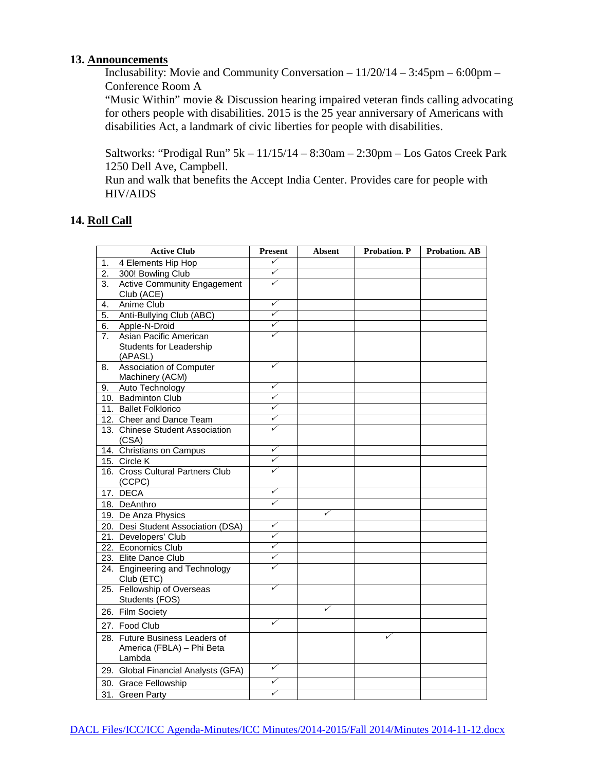## **13. Announcements**

Inclusability: Movie and Community Conversation – 11/20/14 – 3:45pm – 6:00pm – Conference Room A

"Music Within" movie & Discussion hearing impaired veteran finds calling advocating for others people with disabilities. 2015 is the 25 year anniversary of Americans with disabilities Act, a landmark of civic liberties for people with disabilities.

Saltworks: "Prodigal Run" 5k – 11/15/14 – 8:30am – 2:30pm – Los Gatos Creek Park 1250 Dell Ave, Campbell.

Run and walk that benefits the Accept India Center. Provides care for people with HIV/AIDS

## **14. Roll Call**

| <b>Active Club</b> |                                                             | <b>Present</b>          | <b>Absent</b> | <b>Probation</b> . P | <b>Probation. AB</b> |
|--------------------|-------------------------------------------------------------|-------------------------|---------------|----------------------|----------------------|
| 1.                 | 4 Elements Hip Hop                                          | ✓                       |               |                      |                      |
| 2.                 | 300! Bowling Club                                           | ✓                       |               |                      |                      |
| 3.                 | <b>Active Community Engagement</b>                          | ✓                       |               |                      |                      |
|                    | Club (ACE)                                                  |                         |               |                      |                      |
| 4.                 | Anime Club                                                  | ✓                       |               |                      |                      |
| 5.                 | Anti-Bullying Club (ABC)                                    | ✓                       |               |                      |                      |
| 6.                 | Apple-N-Droid                                               | ✓                       |               |                      |                      |
| 7.                 | Asian Pacific American                                      | ✓                       |               |                      |                      |
|                    | Students for Leadership                                     |                         |               |                      |                      |
|                    | (APASL)                                                     | ✓                       |               |                      |                      |
| 8.                 | <b>Association of Computer</b>                              |                         |               |                      |                      |
|                    | Machinery (ACM)                                             | ✓                       |               |                      |                      |
| 9.                 | Auto Technology                                             | ✓                       |               |                      |                      |
|                    | 10. Badminton Club                                          | $\overline{\checkmark}$ |               |                      |                      |
|                    | 11. Ballet Folklorico                                       | ✓                       |               |                      |                      |
|                    | 12. Cheer and Dance Team<br>13. Chinese Student Association | ✓                       |               |                      |                      |
|                    | (CSA)                                                       |                         |               |                      |                      |
|                    | 14. Christians on Campus                                    | ✓                       |               |                      |                      |
|                    | 15. Circle K                                                | ✓                       |               |                      |                      |
|                    | 16. Cross Cultural Partners Club                            | ✓                       |               |                      |                      |
|                    | (CCPC)                                                      |                         |               |                      |                      |
|                    | 17. DECA                                                    | ✓                       |               |                      |                      |
|                    | 18. DeAnthro                                                | ✓                       |               |                      |                      |
|                    | 19. De Anza Physics                                         |                         | $\checkmark$  |                      |                      |
|                    | 20. Desi Student Association (DSA)                          | ✓                       |               |                      |                      |
|                    | 21. Developers' Club                                        | ✓                       |               |                      |                      |
|                    | 22. Economics Club                                          | ✓                       |               |                      |                      |
|                    | 23. Elite Dance Club                                        | ✓                       |               |                      |                      |
|                    | 24. Engineering and Technology                              | ✓                       |               |                      |                      |
|                    | Club (ETC)                                                  |                         |               |                      |                      |
|                    | 25. Fellowship of Overseas                                  | ✓                       |               |                      |                      |
|                    | Students (FOS)                                              |                         |               |                      |                      |
|                    | 26. Film Society                                            |                         | ✓             |                      |                      |
|                    | 27. Food Club                                               | ✓                       |               |                      |                      |
|                    | 28. Future Business Leaders of                              |                         |               | ✓                    |                      |
|                    | America (FBLA) - Phi Beta                                   |                         |               |                      |                      |
|                    | Lambda                                                      |                         |               |                      |                      |
|                    | 29. Global Financial Analysts (GFA)                         | ✓                       |               |                      |                      |
|                    | 30. Grace Fellowship                                        | ✓                       |               |                      |                      |
|                    | 31. Green Party                                             | ✓                       |               |                      |                      |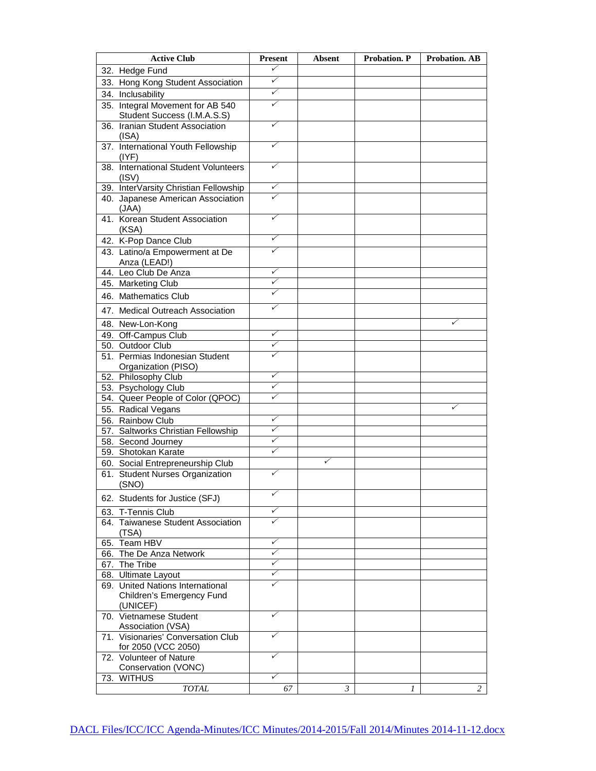| <b>Active Club</b>                             | <b>Present</b> | <b>Absent</b> | Probation. P | <b>Probation. AB</b> |
|------------------------------------------------|----------------|---------------|--------------|----------------------|
| 32. Hedge Fund                                 | ✓              |               |              |                      |
| 33. Hong Kong Student Association              | ✓              |               |              |                      |
| 34. Inclusability                              | ✓              |               |              |                      |
| 35. Integral Movement for AB 540               | ✓              |               |              |                      |
| Student Success (I.M.A.S.S)                    |                |               |              |                      |
| 36. Iranian Student Association                | ✓              |               |              |                      |
| (ISA)                                          |                |               |              |                      |
| 37. International Youth Fellowship             | ✓              |               |              |                      |
| (IVF)                                          |                |               |              |                      |
| 38. International Student Volunteers           | ✓              |               |              |                      |
| (ISV)                                          |                |               |              |                      |
| 39. InterVarsity Christian Fellowship          | ✓<br>✓         |               |              |                      |
| 40. Japanese American Association<br>(JAA)     |                |               |              |                      |
| 41. Korean Student Association                 | ✓              |               |              |                      |
| (KSA)                                          |                |               |              |                      |
| 42. K-Pop Dance Club                           | ✓              |               |              |                      |
| 43. Latino/a Empowerment at De                 | ✓              |               |              |                      |
| Anza (LEAD!)                                   |                |               |              |                      |
| 44. Leo Club De Anza                           | ✓              |               |              |                      |
| 45. Marketing Club                             | ✓              |               |              |                      |
| 46. Mathematics Club                           | ✓              |               |              |                      |
| 47. Medical Outreach Association               | ✓              |               |              |                      |
| 48. New-Lon-Kong                               |                |               |              |                      |
| 49. Off-Campus Club                            | ✓              |               |              |                      |
| 50. Outdoor Club                               | ✓              |               |              |                      |
| 51. Permias Indonesian Student                 | ✓              |               |              |                      |
| Organization (PISO)                            |                |               |              |                      |
| 52. Philosophy Club                            | ✓              |               |              |                      |
| 53. Psychology Club                            | ✓              |               |              |                      |
| 54. Queer People of Color (QPOC)               | ✓              |               |              |                      |
| 55. Radical Vegans                             |                |               |              | ✓                    |
| 56. Rainbow Club                               | ✓              |               |              |                      |
| 57. Saltworks Christian Fellowship             | ✓              |               |              |                      |
| 58. Second Journey                             | ✓              |               |              |                      |
| 59. Shotokan Karate                            | ✓              |               |              |                      |
| 60. Social Entrepreneurship Club               |                | ✓             |              |                      |
| 61. Student Nurses Organization<br>(SNO)       | ✓              |               |              |                      |
|                                                | ✓              |               |              |                      |
| 62. Students for Justice (SFJ)                 |                |               |              |                      |
| 63. T-Tennis Club                              | ✓              |               |              |                      |
| 64. Taiwanese Student Association              | ✓              |               |              |                      |
| (TSA)<br>65. Team HBV                          | ✓              |               |              |                      |
| 66. The De Anza Network                        | ✓              |               |              |                      |
| 67. The Tribe                                  | ✓              |               |              |                      |
| 68. Ultimate Layout                            | ✓              |               |              |                      |
| 69. United Nations International               | ✓              |               |              |                      |
| Children's Emergency Fund                      |                |               |              |                      |
| (UNICEF)                                       |                |               |              |                      |
| 70. Vietnamese Student                         | ✓              |               |              |                      |
| Association (VSA)                              | ✓              |               |              |                      |
| 71. Visionaries' Conversation Club             |                |               |              |                      |
| for 2050 (VCC 2050)<br>72. Volunteer of Nature | ✓              |               |              |                      |
| Conservation (VONC)                            |                |               |              |                      |
| 73. WITHUS                                     | ✓              |               |              |                      |
| <b>TOTAL</b>                                   | 67             | 3             | 1            | $\overline{c}$       |